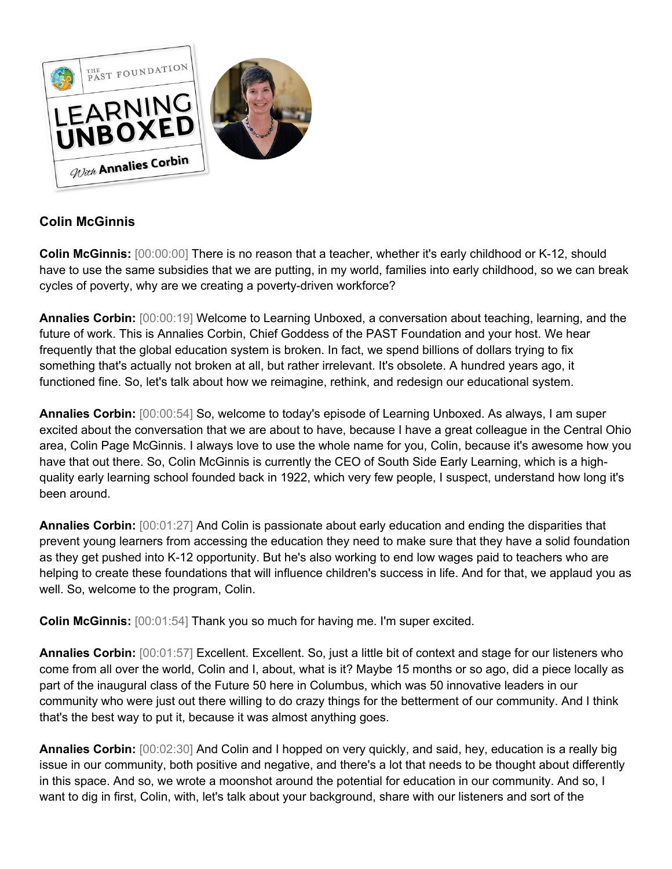

## **Colin McGinnis**

**Colin McGinnis:** [00:00:00] There is no reason that a teacher, whether it's early childhood or K-12, should have to use the same subsidies that we are putting, in my world, families into early childhood, so we can break cycles of poverty, why are we creating a poverty-driven workforce?

**Annalies Corbin:** [00:00:19] Welcome to Learning Unboxed, a conversation about teaching, learning, and the future of work. This is Annalies Corbin, Chief Goddess of the PAST Foundation and your host. We hear frequently that the global education system is broken. In fact, we spend billions of dollars trying to fix something that's actually not broken at all, but rather irrelevant. It's obsolete. A hundred years ago, it functioned fine. So, let's talk about how we reimagine, rethink, and redesign our educational system.

**Annalies Corbin:** [00:00:54] So, welcome to today's episode of Learning Unboxed. As always, I am super excited about the conversation that we are about to have, because I have a great colleague in the Central Ohio area, Colin Page McGinnis. I always love to use the whole name for you, Colin, because it's awesome how you have that out there. So, Colin McGinnis is currently the CEO of South Side Early Learning, which is a highquality early learning school founded back in 1922, which very few people, I suspect, understand how long it's been around.

**Annalies Corbin:** [00:01:27] And Colin is passionate about early education and ending the disparities that prevent young learners from accessing the education they need to make sure that they have a solid foundation as they get pushed into K-12 opportunity. But he's also working to end low wages paid to teachers who are helping to create these foundations that will influence children's success in life. And for that, we applaud you as well. So, welcome to the program, Colin.

**Colin McGinnis:** [00:01:54] Thank you so much for having me. I'm super excited.

**Annalies Corbin:** [00:01:57] Excellent. Excellent. So, just a little bit of context and stage for our listeners who come from all over the world, Colin and I, about, what is it? Maybe 15 months or so ago, did a piece locally as part of the inaugural class of the Future 50 here in Columbus, which was 50 innovative leaders in our community who were just out there willing to do crazy things for the betterment of our community. And I think that's the best way to put it, because it was almost anything goes.

**Annalies Corbin:** [00:02:30] And Colin and I hopped on very quickly, and said, hey, education is a really big issue in our community, both positive and negative, and there's a lot that needs to be thought about differently in this space. And so, we wrote a moonshot around the potential for education in our community. And so, I want to dig in first, Colin, with, let's talk about your background, share with our listeners and sort of the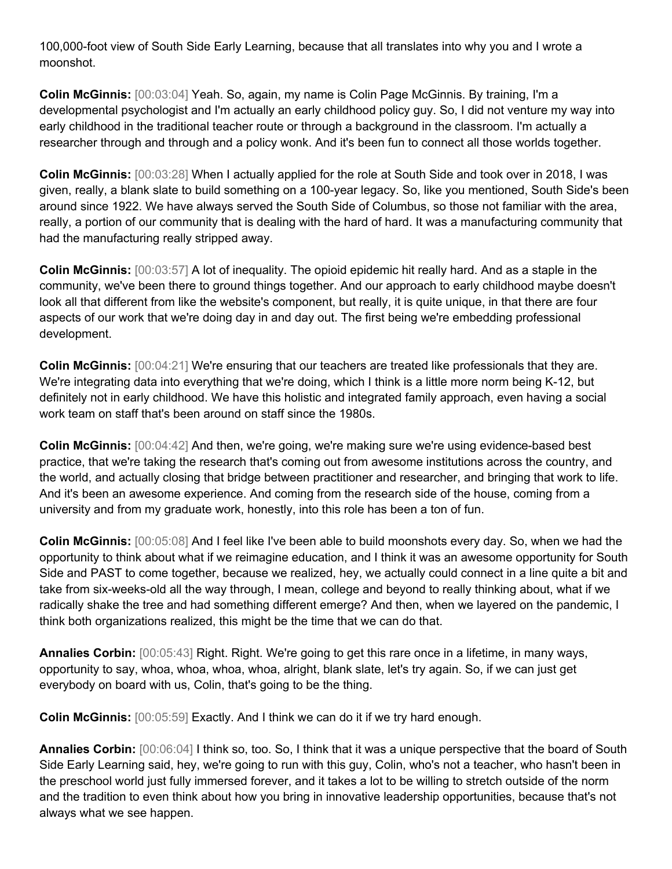100,000-foot view of South Side Early Learning, because that all translates into why you and I wrote a moonshot.

**Colin McGinnis:** [00:03:04] Yeah. So, again, my name is Colin Page McGinnis. By training, I'm a developmental psychologist and I'm actually an early childhood policy guy. So, I did not venture my way into early childhood in the traditional teacher route or through a background in the classroom. I'm actually a researcher through and through and a policy wonk. And it's been fun to connect all those worlds together.

**Colin McGinnis:** [00:03:28] When I actually applied for the role at South Side and took over in 2018, I was given, really, a blank slate to build something on a 100-year legacy. So, like you mentioned, South Side's been around since 1922. We have always served the South Side of Columbus, so those not familiar with the area, really, a portion of our community that is dealing with the hard of hard. It was a manufacturing community that had the manufacturing really stripped away.

**Colin McGinnis:** [00:03:57] A lot of inequality. The opioid epidemic hit really hard. And as a staple in the community, we've been there to ground things together. And our approach to early childhood maybe doesn't look all that different from like the website's component, but really, it is quite unique, in that there are four aspects of our work that we're doing day in and day out. The first being we're embedding professional development.

**Colin McGinnis:** [00:04:21] We're ensuring that our teachers are treated like professionals that they are. We're integrating data into everything that we're doing, which I think is a little more norm being K-12, but definitely not in early childhood. We have this holistic and integrated family approach, even having a social work team on staff that's been around on staff since the 1980s.

**Colin McGinnis:** [00:04:42] And then, we're going, we're making sure we're using evidence-based best practice, that we're taking the research that's coming out from awesome institutions across the country, and the world, and actually closing that bridge between practitioner and researcher, and bringing that work to life. And it's been an awesome experience. And coming from the research side of the house, coming from a university and from my graduate work, honestly, into this role has been a ton of fun.

**Colin McGinnis:** [00:05:08] And I feel like I've been able to build moonshots every day. So, when we had the opportunity to think about what if we reimagine education, and I think it was an awesome opportunity for South Side and PAST to come together, because we realized, hey, we actually could connect in a line quite a bit and take from six-weeks-old all the way through, I mean, college and beyond to really thinking about, what if we radically shake the tree and had something different emerge? And then, when we layered on the pandemic, I think both organizations realized, this might be the time that we can do that.

**Annalies Corbin:** [00:05:43] Right. Right. We're going to get this rare once in a lifetime, in many ways, opportunity to say, whoa, whoa, whoa, whoa, alright, blank slate, let's try again. So, if we can just get everybody on board with us, Colin, that's going to be the thing.

**Colin McGinnis:** [00:05:59] Exactly. And I think we can do it if we try hard enough.

**Annalies Corbin:** [00:06:04] I think so, too. So, I think that it was a unique perspective that the board of South Side Early Learning said, hey, we're going to run with this guy, Colin, who's not a teacher, who hasn't been in the preschool world just fully immersed forever, and it takes a lot to be willing to stretch outside of the norm and the tradition to even think about how you bring in innovative leadership opportunities, because that's not always what we see happen.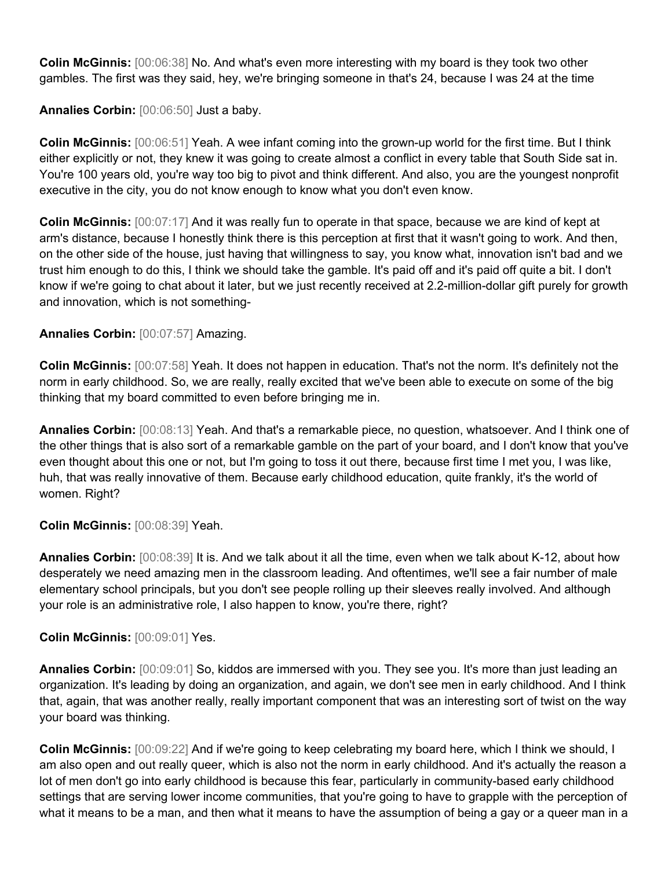**Colin McGinnis:** [00:06:38] No. And what's even more interesting with my board is they took two other gambles. The first was they said, hey, we're bringing someone in that's 24, because I was 24 at the time

**Annalies Corbin:** [00:06:50] Just a baby.

**Colin McGinnis:** [00:06:51] Yeah. A wee infant coming into the grown-up world for the first time. But I think either explicitly or not, they knew it was going to create almost a conflict in every table that South Side sat in. You're 100 years old, you're way too big to pivot and think different. And also, you are the youngest nonprofit executive in the city, you do not know enough to know what you don't even know.

**Colin McGinnis:** [00:07:17] And it was really fun to operate in that space, because we are kind of kept at arm's distance, because I honestly think there is this perception at first that it wasn't going to work. And then, on the other side of the house, just having that willingness to say, you know what, innovation isn't bad and we trust him enough to do this, I think we should take the gamble. It's paid off and it's paid off quite a bit. I don't know if we're going to chat about it later, but we just recently received at 2.2-million-dollar gift purely for growth and innovation, which is not something-

## **Annalies Corbin:** [00:07:57] Amazing.

**Colin McGinnis:** [00:07:58] Yeah. It does not happen in education. That's not the norm. It's definitely not the norm in early childhood. So, we are really, really excited that we've been able to execute on some of the big thinking that my board committed to even before bringing me in.

**Annalies Corbin:** [00:08:13] Yeah. And that's a remarkable piece, no question, whatsoever. And I think one of the other things that is also sort of a remarkable gamble on the part of your board, and I don't know that you've even thought about this one or not, but I'm going to toss it out there, because first time I met you, I was like, huh, that was really innovative of them. Because early childhood education, quite frankly, it's the world of women. Right?

## **Colin McGinnis:** [00:08:39] Yeah.

**Annalies Corbin:** [00:08:39] It is. And we talk about it all the time, even when we talk about K-12, about how desperately we need amazing men in the classroom leading. And oftentimes, we'll see a fair number of male elementary school principals, but you don't see people rolling up their sleeves really involved. And although your role is an administrative role, I also happen to know, you're there, right?

**Colin McGinnis:** [00:09:01] Yes.

**Annalies Corbin:** [00:09:01] So, kiddos are immersed with you. They see you. It's more than just leading an organization. It's leading by doing an organization, and again, we don't see men in early childhood. And I think that, again, that was another really, really important component that was an interesting sort of twist on the way your board was thinking.

**Colin McGinnis:** [00:09:22] And if we're going to keep celebrating my board here, which I think we should, I am also open and out really queer, which is also not the norm in early childhood. And it's actually the reason a lot of men don't go into early childhood is because this fear, particularly in community-based early childhood settings that are serving lower income communities, that you're going to have to grapple with the perception of what it means to be a man, and then what it means to have the assumption of being a gay or a queer man in a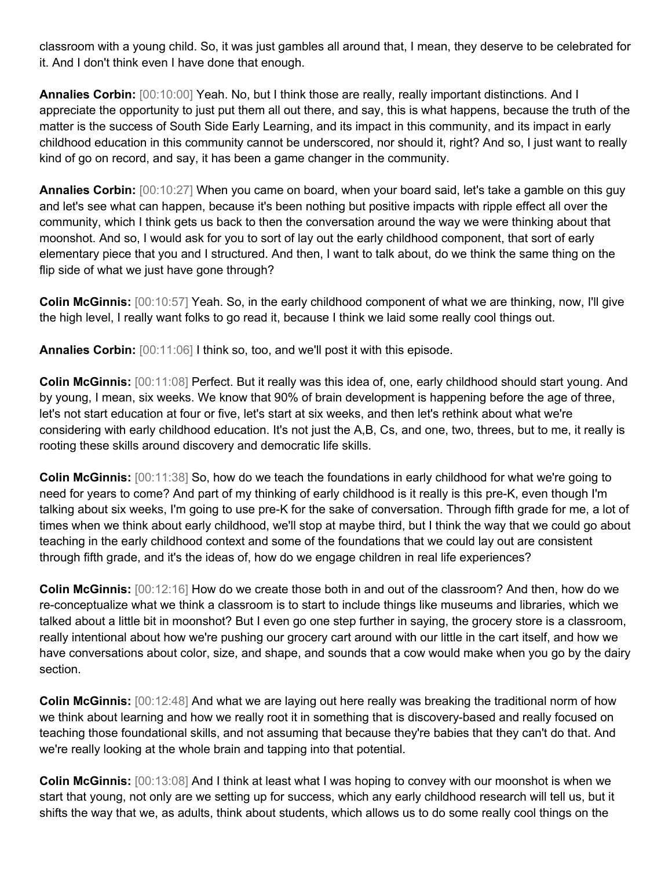classroom with a young child. So, it was just gambles all around that, I mean, they deserve to be celebrated for it. And I don't think even I have done that enough.

**Annalies Corbin:** [00:10:00] Yeah. No, but I think those are really, really important distinctions. And I appreciate the opportunity to just put them all out there, and say, this is what happens, because the truth of the matter is the success of South Side Early Learning, and its impact in this community, and its impact in early childhood education in this community cannot be underscored, nor should it, right? And so, I just want to really kind of go on record, and say, it has been a game changer in the community.

**Annalies Corbin:** [00:10:27] When you came on board, when your board said, let's take a gamble on this guy and let's see what can happen, because it's been nothing but positive impacts with ripple effect all over the community, which I think gets us back to then the conversation around the way we were thinking about that moonshot. And so, I would ask for you to sort of lay out the early childhood component, that sort of early elementary piece that you and I structured. And then, I want to talk about, do we think the same thing on the flip side of what we just have gone through?

**Colin McGinnis:** [00:10:57] Yeah. So, in the early childhood component of what we are thinking, now, I'll give the high level, I really want folks to go read it, because I think we laid some really cool things out.

**Annalies Corbin:** [00:11:06] I think so, too, and we'll post it with this episode.

**Colin McGinnis:** [00:11:08] Perfect. But it really was this idea of, one, early childhood should start young. And by young, I mean, six weeks. We know that 90% of brain development is happening before the age of three, let's not start education at four or five, let's start at six weeks, and then let's rethink about what we're considering with early childhood education. It's not just the A,B, Cs, and one, two, threes, but to me, it really is rooting these skills around discovery and democratic life skills.

**Colin McGinnis:** [00:11:38] So, how do we teach the foundations in early childhood for what we're going to need for years to come? And part of my thinking of early childhood is it really is this pre-K, even though I'm talking about six weeks, I'm going to use pre-K for the sake of conversation. Through fifth grade for me, a lot of times when we think about early childhood, we'll stop at maybe third, but I think the way that we could go about teaching in the early childhood context and some of the foundations that we could lay out are consistent through fifth grade, and it's the ideas of, how do we engage children in real life experiences?

**Colin McGinnis:** [00:12:16] How do we create those both in and out of the classroom? And then, how do we re-conceptualize what we think a classroom is to start to include things like museums and libraries, which we talked about a little bit in moonshot? But I even go one step further in saying, the grocery store is a classroom, really intentional about how we're pushing our grocery cart around with our little in the cart itself, and how we have conversations about color, size, and shape, and sounds that a cow would make when you go by the dairy section.

**Colin McGinnis:** [00:12:48] And what we are laying out here really was breaking the traditional norm of how we think about learning and how we really root it in something that is discovery-based and really focused on teaching those foundational skills, and not assuming that because they're babies that they can't do that. And we're really looking at the whole brain and tapping into that potential.

**Colin McGinnis:** [00:13:08] And I think at least what I was hoping to convey with our moonshot is when we start that young, not only are we setting up for success, which any early childhood research will tell us, but it shifts the way that we, as adults, think about students, which allows us to do some really cool things on the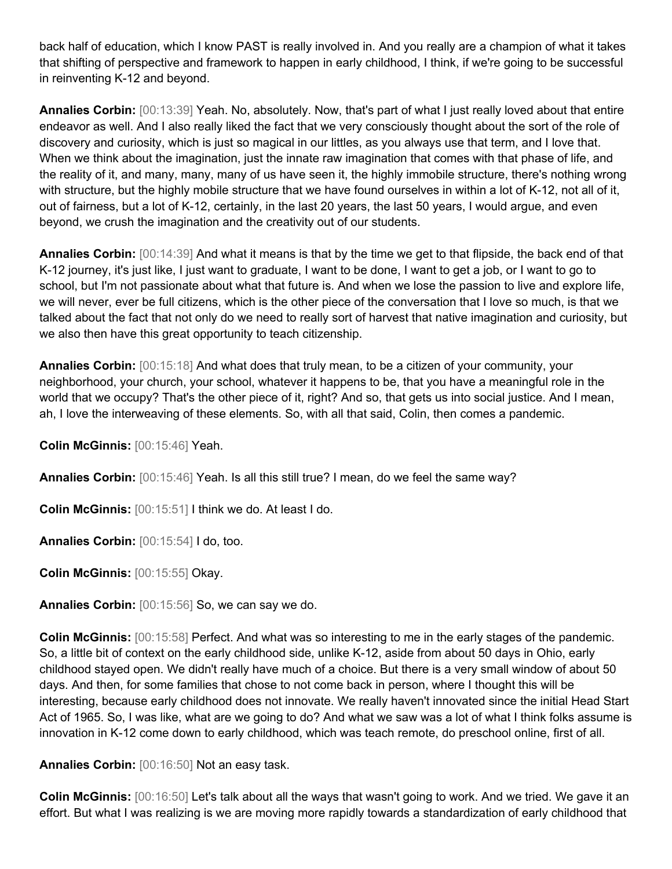back half of education, which I know PAST is really involved in. And you really are a champion of what it takes that shifting of perspective and framework to happen in early childhood, I think, if we're going to be successful in reinventing K-12 and beyond.

**Annalies Corbin:** [00:13:39] Yeah. No, absolutely. Now, that's part of what I just really loved about that entire endeavor as well. And I also really liked the fact that we very consciously thought about the sort of the role of discovery and curiosity, which is just so magical in our littles, as you always use that term, and I love that. When we think about the imagination, just the innate raw imagination that comes with that phase of life, and the reality of it, and many, many, many of us have seen it, the highly immobile structure, there's nothing wrong with structure, but the highly mobile structure that we have found ourselves in within a lot of K-12, not all of it, out of fairness, but a lot of K-12, certainly, in the last 20 years, the last 50 years, I would argue, and even beyond, we crush the imagination and the creativity out of our students.

**Annalies Corbin:** [00:14:39] And what it means is that by the time we get to that flipside, the back end of that K-12 journey, it's just like, I just want to graduate, I want to be done, I want to get a job, or I want to go to school, but I'm not passionate about what that future is. And when we lose the passion to live and explore life, we will never, ever be full citizens, which is the other piece of the conversation that I love so much, is that we talked about the fact that not only do we need to really sort of harvest that native imagination and curiosity, but we also then have this great opportunity to teach citizenship.

**Annalies Corbin:** [00:15:18] And what does that truly mean, to be a citizen of your community, your neighborhood, your church, your school, whatever it happens to be, that you have a meaningful role in the world that we occupy? That's the other piece of it, right? And so, that gets us into social justice. And I mean, ah, I love the interweaving of these elements. So, with all that said, Colin, then comes a pandemic.

**Colin McGinnis:** [00:15:46] Yeah.

**Annalies Corbin:** [00:15:46] Yeah. Is all this still true? I mean, do we feel the same way?

**Colin McGinnis:** [00:15:51] I think we do. At least I do.

**Annalies Corbin:** [00:15:54] I do, too.

**Colin McGinnis:** [00:15:55] Okay.

**Annalies Corbin:** [00:15:56] So, we can say we do.

**Colin McGinnis:** [00:15:58] Perfect. And what was so interesting to me in the early stages of the pandemic. So, a little bit of context on the early childhood side, unlike K-12, aside from about 50 days in Ohio, early childhood stayed open. We didn't really have much of a choice. But there is a very small window of about 50 days. And then, for some families that chose to not come back in person, where I thought this will be interesting, because early childhood does not innovate. We really haven't innovated since the initial Head Start Act of 1965. So, I was like, what are we going to do? And what we saw was a lot of what I think folks assume is innovation in K-12 come down to early childhood, which was teach remote, do preschool online, first of all.

**Annalies Corbin:** [00:16:50] Not an easy task.

**Colin McGinnis:** [00:16:50] Let's talk about all the ways that wasn't going to work. And we tried. We gave it an effort. But what I was realizing is we are moving more rapidly towards a standardization of early childhood that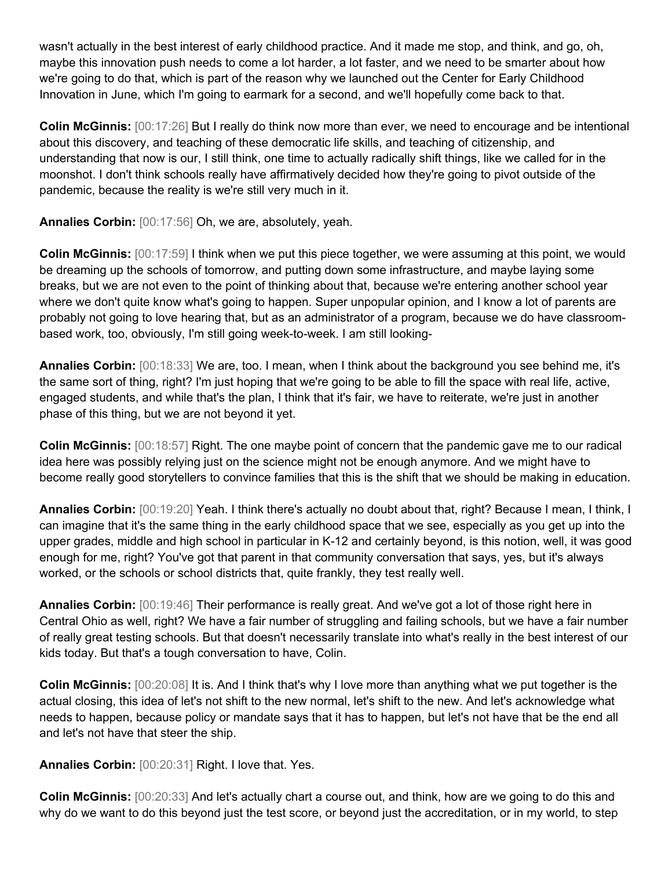wasn't actually in the best interest of early childhood practice. And it made me stop, and think, and go, oh, maybe this innovation push needs to come a lot harder, a lot faster, and we need to be smarter about how we're going to do that, which is part of the reason why we launched out the Center for Early Childhood Innovation in June, which I'm going to earmark for a second, and we'll hopefully come back to that.

**Colin McGinnis:** [00:17:26] But I really do think now more than ever, we need to encourage and be intentional about this discovery, and teaching of these democratic life skills, and teaching of citizenship, and understanding that now is our, I still think, one time to actually radically shift things, like we called for in the moonshot. I don't think schools really have affirmatively decided how they're going to pivot outside of the pandemic, because the reality is we're still very much in it.

**Annalies Corbin:** [00:17:56] Oh, we are, absolutely, yeah.

**Colin McGinnis:** [00:17:59] I think when we put this piece together, we were assuming at this point, we would be dreaming up the schools of tomorrow, and putting down some infrastructure, and maybe laying some breaks, but we are not even to the point of thinking about that, because we're entering another school year where we don't quite know what's going to happen. Super unpopular opinion, and I know a lot of parents are probably not going to love hearing that, but as an administrator of a program, because we do have classroombased work, too, obviously, I'm still going week-to-week. I am still looking-

**Annalies Corbin:** [00:18:33] We are, too. I mean, when I think about the background you see behind me, it's the same sort of thing, right? I'm just hoping that we're going to be able to fill the space with real life, active, engaged students, and while that's the plan, I think that it's fair, we have to reiterate, we're just in another phase of this thing, but we are not beyond it yet.

**Colin McGinnis:** [00:18:57] Right. The one maybe point of concern that the pandemic gave me to our radical idea here was possibly relying just on the science might not be enough anymore. And we might have to become really good storytellers to convince families that this is the shift that we should be making in education.

**Annalies Corbin:** [00:19:20] Yeah. I think there's actually no doubt about that, right? Because I mean, I think, I can imagine that it's the same thing in the early childhood space that we see, especially as you get up into the upper grades, middle and high school in particular in K-12 and certainly beyond, is this notion, well, it was good enough for me, right? You've got that parent in that community conversation that says, yes, but it's always worked, or the schools or school districts that, quite frankly, they test really well.

**Annalies Corbin:** [00:19:46] Their performance is really great. And we've got a lot of those right here in Central Ohio as well, right? We have a fair number of struggling and failing schools, but we have a fair number of really great testing schools. But that doesn't necessarily translate into what's really in the best interest of our kids today. But that's a tough conversation to have, Colin.

**Colin McGinnis:** [00:20:08] It is. And I think that's why I love more than anything what we put together is the actual closing, this idea of let's not shift to the new normal, let's shift to the new. And let's acknowledge what needs to happen, because policy or mandate says that it has to happen, but let's not have that be the end all and let's not have that steer the ship.

**Annalies Corbin:** [00:20:31] Right. I love that. Yes.

**Colin McGinnis:** [00:20:33] And let's actually chart a course out, and think, how are we going to do this and why do we want to do this beyond just the test score, or beyond just the accreditation, or in my world, to step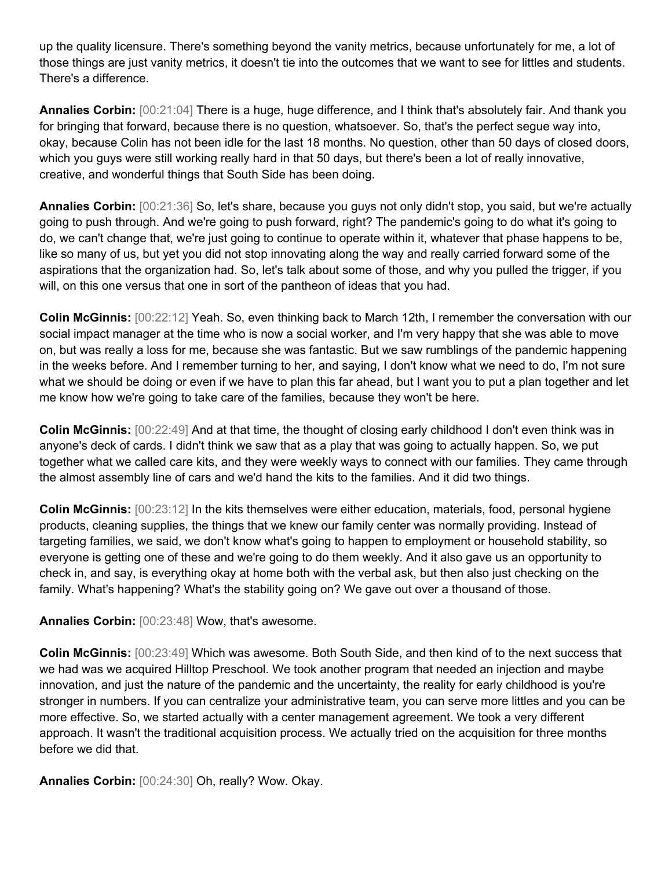up the quality licensure. There's something beyond the vanity metrics, because unfortunately for me, a lot of those things are just vanity metrics, it doesn't tie into the outcomes that we want to see for littles and students. There's a difference.

**Annalies Corbin:** [00:21:04] There is a huge, huge difference, and I think that's absolutely fair. And thank you for bringing that forward, because there is no question, whatsoever. So, that's the perfect segue way into, okay, because Colin has not been idle for the last 18 months. No question, other than 50 days of closed doors, which you guys were still working really hard in that 50 days, but there's been a lot of really innovative, creative, and wonderful things that South Side has been doing.

**Annalies Corbin:** [00:21:36] So, let's share, because you guys not only didn't stop, you said, but we're actually going to push through. And we're going to push forward, right? The pandemic's going to do what it's going to do, we can't change that, we're just going to continue to operate within it, whatever that phase happens to be, like so many of us, but yet you did not stop innovating along the way and really carried forward some of the aspirations that the organization had. So, let's talk about some of those, and why you pulled the trigger, if you will, on this one versus that one in sort of the pantheon of ideas that you had.

**Colin McGinnis:** [00:22:12] Yeah. So, even thinking back to March 12th, I remember the conversation with our social impact manager at the time who is now a social worker, and I'm very happy that she was able to move on, but was really a loss for me, because she was fantastic. But we saw rumblings of the pandemic happening in the weeks before. And I remember turning to her, and saying, I don't know what we need to do, I'm not sure what we should be doing or even if we have to plan this far ahead, but I want you to put a plan together and let me know how we're going to take care of the families, because they won't be here.

**Colin McGinnis:** [00:22:49] And at that time, the thought of closing early childhood I don't even think was in anyone's deck of cards. I didn't think we saw that as a play that was going to actually happen. So, we put together what we called care kits, and they were weekly ways to connect with our families. They came through the almost assembly line of cars and we'd hand the kits to the families. And it did two things.

**Colin McGinnis:** [00:23:12] In the kits themselves were either education, materials, food, personal hygiene products, cleaning supplies, the things that we knew our family center was normally providing. Instead of targeting families, we said, we don't know what's going to happen to employment or household stability, so everyone is getting one of these and we're going to do them weekly. And it also gave us an opportunity to check in, and say, is everything okay at home both with the verbal ask, but then also just checking on the family. What's happening? What's the stability going on? We gave out over a thousand of those.

**Annalies Corbin:** [00:23:48] Wow, that's awesome.

**Colin McGinnis:** [00:23:49] Which was awesome. Both South Side, and then kind of to the next success that we had was we acquired Hilltop Preschool. We took another program that needed an injection and maybe innovation, and just the nature of the pandemic and the uncertainty, the reality for early childhood is you're stronger in numbers. If you can centralize your administrative team, you can serve more littles and you can be more effective. So, we started actually with a center management agreement. We took a very different approach. It wasn't the traditional acquisition process. We actually tried on the acquisition for three months before we did that.

**Annalies Corbin:** [00:24:30] Oh, really? Wow. Okay.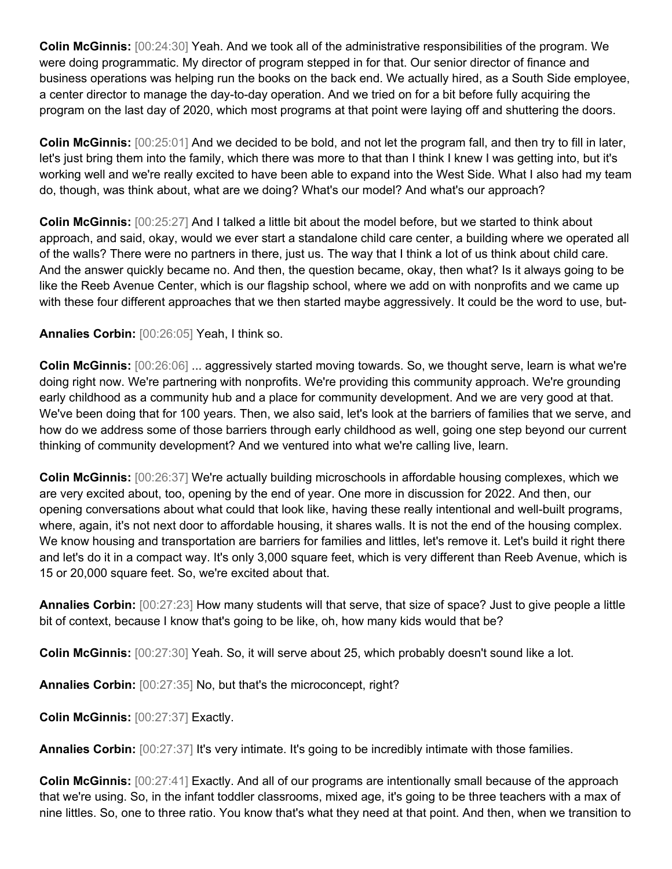**Colin McGinnis:** [00:24:30] Yeah. And we took all of the administrative responsibilities of the program. We were doing programmatic. My director of program stepped in for that. Our senior director of finance and business operations was helping run the books on the back end. We actually hired, as a South Side employee, a center director to manage the day-to-day operation. And we tried on for a bit before fully acquiring the program on the last day of 2020, which most programs at that point were laying off and shuttering the doors.

**Colin McGinnis:** [00:25:01] And we decided to be bold, and not let the program fall, and then try to fill in later, let's just bring them into the family, which there was more to that than I think I knew I was getting into, but it's working well and we're really excited to have been able to expand into the West Side. What I also had my team do, though, was think about, what are we doing? What's our model? And what's our approach?

**Colin McGinnis:** [00:25:27] And I talked a little bit about the model before, but we started to think about approach, and said, okay, would we ever start a standalone child care center, a building where we operated all of the walls? There were no partners in there, just us. The way that I think a lot of us think about child care. And the answer quickly became no. And then, the question became, okay, then what? Is it always going to be like the Reeb Avenue Center, which is our flagship school, where we add on with nonprofits and we came up with these four different approaches that we then started maybe aggressively. It could be the word to use, but-

## **Annalies Corbin:** [00:26:05] Yeah, I think so.

**Colin McGinnis:** [00:26:06] ... aggressively started moving towards. So, we thought serve, learn is what we're doing right now. We're partnering with nonprofits. We're providing this community approach. We're grounding early childhood as a community hub and a place for community development. And we are very good at that. We've been doing that for 100 years. Then, we also said, let's look at the barriers of families that we serve, and how do we address some of those barriers through early childhood as well, going one step beyond our current thinking of community development? And we ventured into what we're calling live, learn.

**Colin McGinnis:** [00:26:37] We're actually building microschools in affordable housing complexes, which we are very excited about, too, opening by the end of year. One more in discussion for 2022. And then, our opening conversations about what could that look like, having these really intentional and well-built programs, where, again, it's not next door to affordable housing, it shares walls. It is not the end of the housing complex. We know housing and transportation are barriers for families and littles, let's remove it. Let's build it right there and let's do it in a compact way. It's only 3,000 square feet, which is very different than Reeb Avenue, which is 15 or 20,000 square feet. So, we're excited about that.

**Annalies Corbin:** [00:27:23] How many students will that serve, that size of space? Just to give people a little bit of context, because I know that's going to be like, oh, how many kids would that be?

**Colin McGinnis:** [00:27:30] Yeah. So, it will serve about 25, which probably doesn't sound like a lot.

**Annalies Corbin:** [00:27:35] No, but that's the microconcept, right?

**Colin McGinnis:** [00:27:37] Exactly.

**Annalies Corbin:** [00:27:37] It's very intimate. It's going to be incredibly intimate with those families.

**Colin McGinnis:** [00:27:41] Exactly. And all of our programs are intentionally small because of the approach that we're using. So, in the infant toddler classrooms, mixed age, it's going to be three teachers with a max of nine littles. So, one to three ratio. You know that's what they need at that point. And then, when we transition to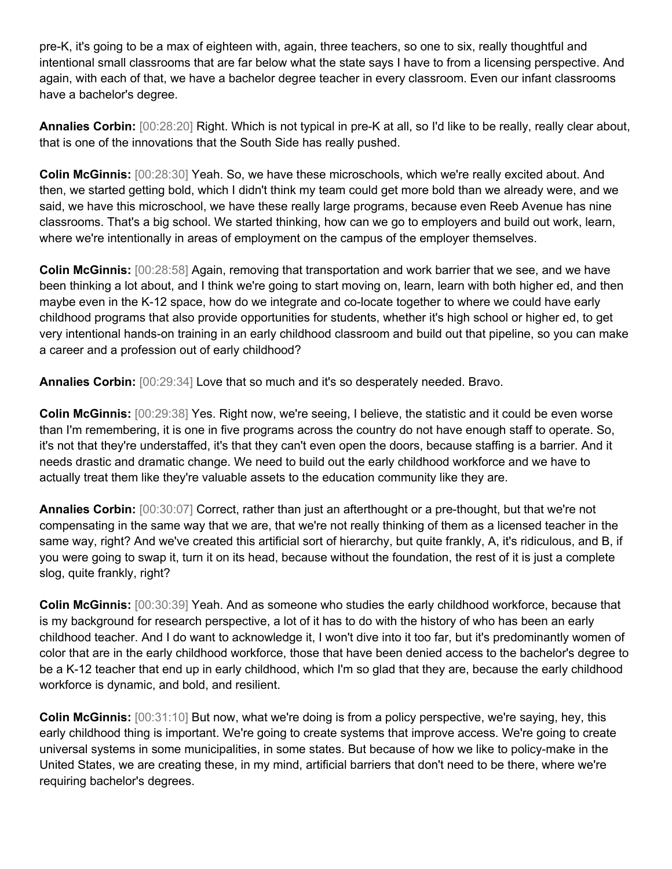pre-K, it's going to be a max of eighteen with, again, three teachers, so one to six, really thoughtful and intentional small classrooms that are far below what the state says I have to from a licensing perspective. And again, with each of that, we have a bachelor degree teacher in every classroom. Even our infant classrooms have a bachelor's degree.

**Annalies Corbin:** [00:28:20] Right. Which is not typical in pre-K at all, so I'd like to be really, really clear about, that is one of the innovations that the South Side has really pushed.

**Colin McGinnis:** [00:28:30] Yeah. So, we have these microschools, which we're really excited about. And then, we started getting bold, which I didn't think my team could get more bold than we already were, and we said, we have this microschool, we have these really large programs, because even Reeb Avenue has nine classrooms. That's a big school. We started thinking, how can we go to employers and build out work, learn, where we're intentionally in areas of employment on the campus of the employer themselves.

**Colin McGinnis:** [00:28:58] Again, removing that transportation and work barrier that we see, and we have been thinking a lot about, and I think we're going to start moving on, learn, learn with both higher ed, and then maybe even in the K-12 space, how do we integrate and co-locate together to where we could have early childhood programs that also provide opportunities for students, whether it's high school or higher ed, to get very intentional hands-on training in an early childhood classroom and build out that pipeline, so you can make a career and a profession out of early childhood?

**Annalies Corbin:** [00:29:34] Love that so much and it's so desperately needed. Bravo.

**Colin McGinnis:** [00:29:38] Yes. Right now, we're seeing, I believe, the statistic and it could be even worse than I'm remembering, it is one in five programs across the country do not have enough staff to operate. So, it's not that they're understaffed, it's that they can't even open the doors, because staffing is a barrier. And it needs drastic and dramatic change. We need to build out the early childhood workforce and we have to actually treat them like they're valuable assets to the education community like they are.

**Annalies Corbin:** [00:30:07] Correct, rather than just an afterthought or a pre-thought, but that we're not compensating in the same way that we are, that we're not really thinking of them as a licensed teacher in the same way, right? And we've created this artificial sort of hierarchy, but quite frankly, A, it's ridiculous, and B, if you were going to swap it, turn it on its head, because without the foundation, the rest of it is just a complete slog, quite frankly, right?

**Colin McGinnis:** [00:30:39] Yeah. And as someone who studies the early childhood workforce, because that is my background for research perspective, a lot of it has to do with the history of who has been an early childhood teacher. And I do want to acknowledge it, I won't dive into it too far, but it's predominantly women of color that are in the early childhood workforce, those that have been denied access to the bachelor's degree to be a K-12 teacher that end up in early childhood, which I'm so glad that they are, because the early childhood workforce is dynamic, and bold, and resilient.

**Colin McGinnis:** [00:31:10] But now, what we're doing is from a policy perspective, we're saying, hey, this early childhood thing is important. We're going to create systems that improve access. We're going to create universal systems in some municipalities, in some states. But because of how we like to policy-make in the United States, we are creating these, in my mind, artificial barriers that don't need to be there, where we're requiring bachelor's degrees.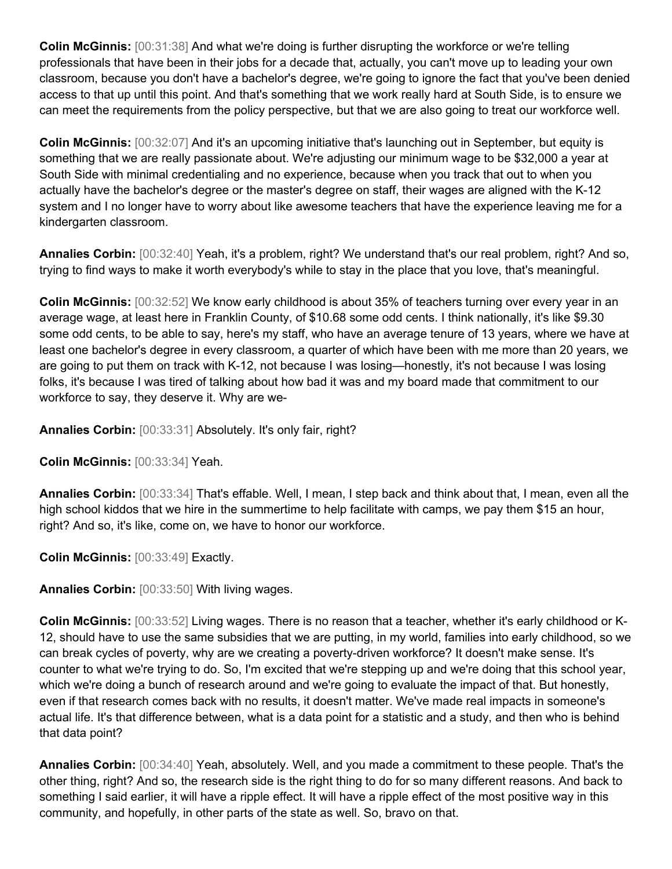**Colin McGinnis:** [00:31:38] And what we're doing is further disrupting the workforce or we're telling professionals that have been in their jobs for a decade that, actually, you can't move up to leading your own classroom, because you don't have a bachelor's degree, we're going to ignore the fact that you've been denied access to that up until this point. And that's something that we work really hard at South Side, is to ensure we can meet the requirements from the policy perspective, but that we are also going to treat our workforce well.

**Colin McGinnis:** [00:32:07] And it's an upcoming initiative that's launching out in September, but equity is something that we are really passionate about. We're adjusting our minimum wage to be \$32,000 a year at South Side with minimal credentialing and no experience, because when you track that out to when you actually have the bachelor's degree or the master's degree on staff, their wages are aligned with the K-12 system and I no longer have to worry about like awesome teachers that have the experience leaving me for a kindergarten classroom.

**Annalies Corbin:** [00:32:40] Yeah, it's a problem, right? We understand that's our real problem, right? And so, trying to find ways to make it worth everybody's while to stay in the place that you love, that's meaningful.

**Colin McGinnis:** [00:32:52] We know early childhood is about 35% of teachers turning over every year in an average wage, at least here in Franklin County, of \$10.68 some odd cents. I think nationally, it's like \$9.30 some odd cents, to be able to say, here's my staff, who have an average tenure of 13 years, where we have at least one bachelor's degree in every classroom, a quarter of which have been with me more than 20 years, we are going to put them on track with K-12, not because I was losing—honestly, it's not because I was losing folks, it's because I was tired of talking about how bad it was and my board made that commitment to our workforce to say, they deserve it. Why are we-

**Annalies Corbin:** [00:33:31] Absolutely. It's only fair, right?

**Colin McGinnis:** [00:33:34] Yeah.

**Annalies Corbin:** [00:33:34] That's effable. Well, I mean, I step back and think about that, I mean, even all the high school kiddos that we hire in the summertime to help facilitate with camps, we pay them \$15 an hour, right? And so, it's like, come on, we have to honor our workforce.

**Colin McGinnis:** [00:33:49] Exactly.

**Annalies Corbin:** [00:33:50] With living wages.

**Colin McGinnis:** [00:33:52] Living wages. There is no reason that a teacher, whether it's early childhood or K-12, should have to use the same subsidies that we are putting, in my world, families into early childhood, so we can break cycles of poverty, why are we creating a poverty-driven workforce? It doesn't make sense. It's counter to what we're trying to do. So, I'm excited that we're stepping up and we're doing that this school year, which we're doing a bunch of research around and we're going to evaluate the impact of that. But honestly, even if that research comes back with no results, it doesn't matter. We've made real impacts in someone's actual life. It's that difference between, what is a data point for a statistic and a study, and then who is behind that data point?

**Annalies Corbin:** [00:34:40] Yeah, absolutely. Well, and you made a commitment to these people. That's the other thing, right? And so, the research side is the right thing to do for so many different reasons. And back to something I said earlier, it will have a ripple effect. It will have a ripple effect of the most positive way in this community, and hopefully, in other parts of the state as well. So, bravo on that.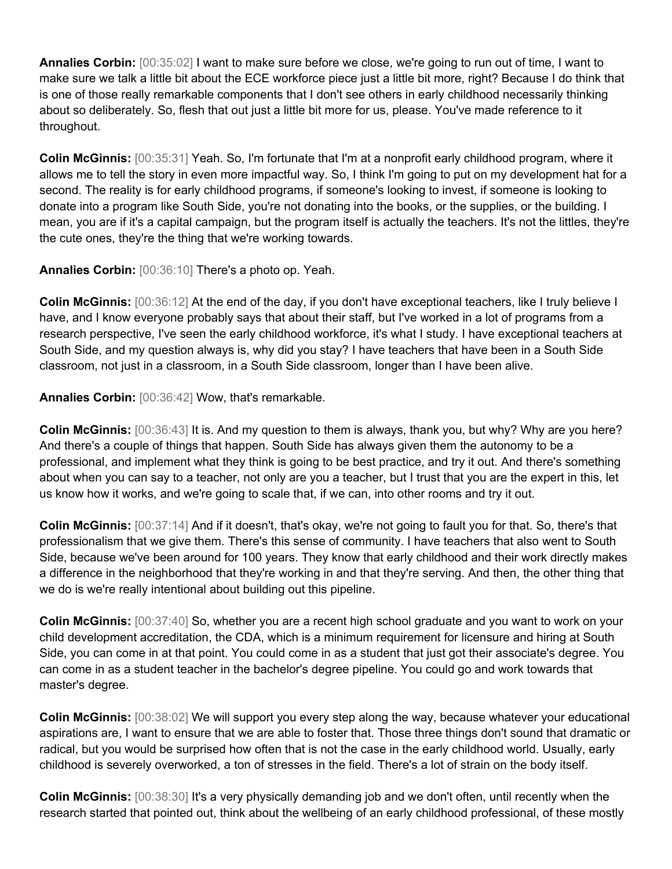**Annalies Corbin:** [00:35:02] I want to make sure before we close, we're going to run out of time, I want to make sure we talk a little bit about the ECE workforce piece just a little bit more, right? Because I do think that is one of those really remarkable components that I don't see others in early childhood necessarily thinking about so deliberately. So, flesh that out just a little bit more for us, please. You've made reference to it throughout.

**Colin McGinnis:** [00:35:31] Yeah. So, I'm fortunate that I'm at a nonprofit early childhood program, where it allows me to tell the story in even more impactful way. So, I think I'm going to put on my development hat for a second. The reality is for early childhood programs, if someone's looking to invest, if someone is looking to donate into a program like South Side, you're not donating into the books, or the supplies, or the building. I mean, you are if it's a capital campaign, but the program itself is actually the teachers. It's not the littles, they're the cute ones, they're the thing that we're working towards.

**Annalies Corbin:** [00:36:10] There's a photo op. Yeah.

**Colin McGinnis:** [00:36:12] At the end of the day, if you don't have exceptional teachers, like I truly believe I have, and I know everyone probably says that about their staff, but I've worked in a lot of programs from a research perspective, I've seen the early childhood workforce, it's what I study. I have exceptional teachers at South Side, and my question always is, why did you stay? I have teachers that have been in a South Side classroom, not just in a classroom, in a South Side classroom, longer than I have been alive.

**Annalies Corbin:** [00:36:42] Wow, that's remarkable.

**Colin McGinnis:** [00:36:43] It is. And my question to them is always, thank you, but why? Why are you here? And there's a couple of things that happen. South Side has always given them the autonomy to be a professional, and implement what they think is going to be best practice, and try it out. And there's something about when you can say to a teacher, not only are you a teacher, but I trust that you are the expert in this, let us know how it works, and we're going to scale that, if we can, into other rooms and try it out.

**Colin McGinnis:** [00:37:14] And if it doesn't, that's okay, we're not going to fault you for that. So, there's that professionalism that we give them. There's this sense of community. I have teachers that also went to South Side, because we've been around for 100 years. They know that early childhood and their work directly makes a difference in the neighborhood that they're working in and that they're serving. And then, the other thing that we do is we're really intentional about building out this pipeline.

**Colin McGinnis:** [00:37:40] So, whether you are a recent high school graduate and you want to work on your child development accreditation, the CDA, which is a minimum requirement for licensure and hiring at South Side, you can come in at that point. You could come in as a student that just got their associate's degree. You can come in as a student teacher in the bachelor's degree pipeline. You could go and work towards that master's degree.

**Colin McGinnis:** [00:38:02] We will support you every step along the way, because whatever your educational aspirations are, I want to ensure that we are able to foster that. Those three things don't sound that dramatic or radical, but you would be surprised how often that is not the case in the early childhood world. Usually, early childhood is severely overworked, a ton of stresses in the field. There's a lot of strain on the body itself.

**Colin McGinnis:** [00:38:30] It's a very physically demanding job and we don't often, until recently when the research started that pointed out, think about the wellbeing of an early childhood professional, of these mostly